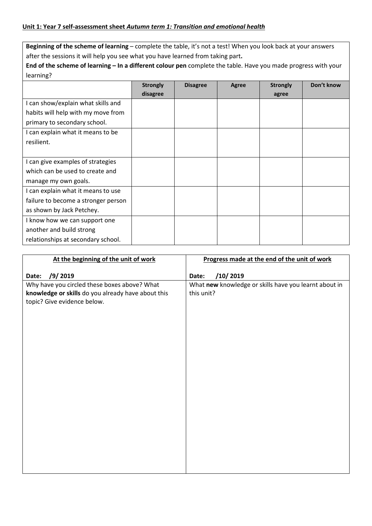**Beginning of the scheme of learning** – complete the table, it's not a test! When you look back at your answers after the sessions it will help you see what you have learned from taking part**.** 

**End of the scheme of learning – In a different colour pen** complete the table. Have you made progress with your learning?

|                                     | <b>Strongly</b> | <b>Disagree</b> | Agree | <b>Strongly</b> | Don't know |
|-------------------------------------|-----------------|-----------------|-------|-----------------|------------|
|                                     | disagree        |                 |       | agree           |            |
| I can show/explain what skills and  |                 |                 |       |                 |            |
| habits will help with my move from  |                 |                 |       |                 |            |
| primary to secondary school.        |                 |                 |       |                 |            |
| I can explain what it means to be   |                 |                 |       |                 |            |
| resilient.                          |                 |                 |       |                 |            |
|                                     |                 |                 |       |                 |            |
| I can give examples of strategies   |                 |                 |       |                 |            |
| which can be used to create and     |                 |                 |       |                 |            |
| manage my own goals.                |                 |                 |       |                 |            |
| I can explain what it means to use  |                 |                 |       |                 |            |
| failure to become a stronger person |                 |                 |       |                 |            |
| as shown by Jack Petchey.           |                 |                 |       |                 |            |
| I know how we can support one       |                 |                 |       |                 |            |
| another and build strong            |                 |                 |       |                 |            |
| relationships at secondary school.  |                 |                 |       |                 |            |

| At the beginning of the unit of work               | Progress made at the end of the unit of work          |
|----------------------------------------------------|-------------------------------------------------------|
| /9/2019<br>Date:                                   | /10/2019<br>Date:                                     |
| Why have you circled these boxes above? What       | What new knowledge or skills have you learnt about in |
| knowledge or skills do you already have about this | this unit?                                            |
| topic? Give evidence below.                        |                                                       |
|                                                    |                                                       |
|                                                    |                                                       |
|                                                    |                                                       |
|                                                    |                                                       |
|                                                    |                                                       |
|                                                    |                                                       |
|                                                    |                                                       |
|                                                    |                                                       |
|                                                    |                                                       |
|                                                    |                                                       |
|                                                    |                                                       |
|                                                    |                                                       |
|                                                    |                                                       |
|                                                    |                                                       |
|                                                    |                                                       |
|                                                    |                                                       |
|                                                    |                                                       |
|                                                    |                                                       |